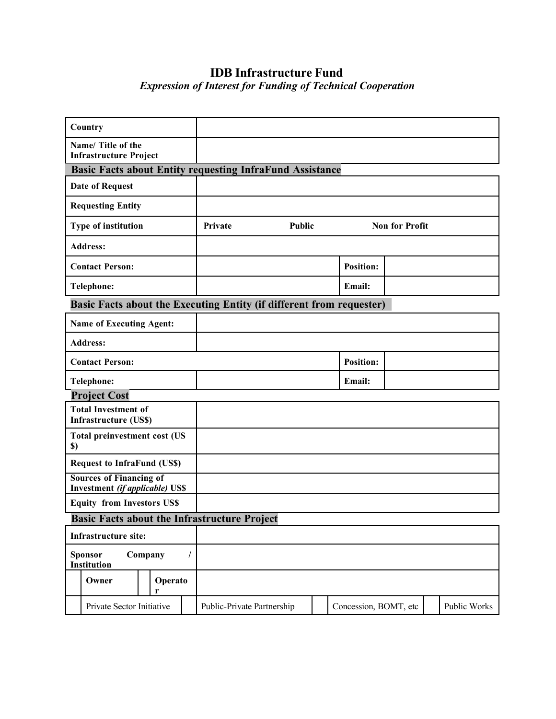# **IDB Infrastructure Fund**  *Expression of Interest for Funding of Technical Cooperation*

|                                                                 | Country                                                              |              |         |                            |  |  |                       |  |  |              |
|-----------------------------------------------------------------|----------------------------------------------------------------------|--------------|---------|----------------------------|--|--|-----------------------|--|--|--------------|
| Name/Title of the<br><b>Infrastructure Project</b>              |                                                                      |              |         |                            |  |  |                       |  |  |              |
| <b>Basic Facts about Entity requesting InfraFund Assistance</b> |                                                                      |              |         |                            |  |  |                       |  |  |              |
|                                                                 | <b>Date of Request</b>                                               |              |         |                            |  |  |                       |  |  |              |
|                                                                 | <b>Requesting Entity</b>                                             |              |         |                            |  |  |                       |  |  |              |
| Type of institution                                             |                                                                      |              | Private | Public                     |  |  | <b>Non for Profit</b> |  |  |              |
|                                                                 | <b>Address:</b>                                                      |              |         |                            |  |  |                       |  |  |              |
|                                                                 | <b>Contact Person:</b>                                               |              |         |                            |  |  | <b>Position:</b>      |  |  |              |
|                                                                 | <b>Telephone:</b>                                                    |              |         |                            |  |  | Email:                |  |  |              |
|                                                                 | Basic Facts about the Executing Entity (if different from requester) |              |         |                            |  |  |                       |  |  |              |
|                                                                 | <b>Name of Executing Agent:</b>                                      |              |         |                            |  |  |                       |  |  |              |
|                                                                 | <b>Address:</b>                                                      |              |         |                            |  |  |                       |  |  |              |
|                                                                 | <b>Contact Person:</b>                                               |              |         |                            |  |  | <b>Position:</b>      |  |  |              |
|                                                                 | <b>Telephone:</b>                                                    |              |         |                            |  |  | Email:                |  |  |              |
|                                                                 | <b>Project Cost</b>                                                  |              |         |                            |  |  |                       |  |  |              |
| <b>Total Investment of</b><br><b>Infrastructure (US\$)</b>      |                                                                      |              |         |                            |  |  |                       |  |  |              |
| $\boldsymbol{\mathsf{S}}$                                       | <b>Total preinvestment cost (US</b>                                  |              |         |                            |  |  |                       |  |  |              |
|                                                                 | <b>Request to InfraFund (US\$)</b>                                   |              |         |                            |  |  |                       |  |  |              |
|                                                                 | <b>Sources of Financing of</b>                                       |              |         |                            |  |  |                       |  |  |              |
|                                                                 | Investment (if applicable) US\$<br><b>Equity from Investors US\$</b> |              |         |                            |  |  |                       |  |  |              |
| <b>Basic Facts about the Infrastructure Project</b>             |                                                                      |              |         |                            |  |  |                       |  |  |              |
|                                                                 | <b>Infrastructure site:</b>                                          |              |         |                            |  |  |                       |  |  |              |
|                                                                 | Company<br>Sponsor<br>$\prime$<br>Institution                        |              |         |                            |  |  |                       |  |  |              |
|                                                                 | Owner                                                                | Operato<br>r |         |                            |  |  |                       |  |  |              |
|                                                                 | Private Sector Initiative                                            |              |         | Public-Private Partnership |  |  | Concession, BOMT, etc |  |  | Public Works |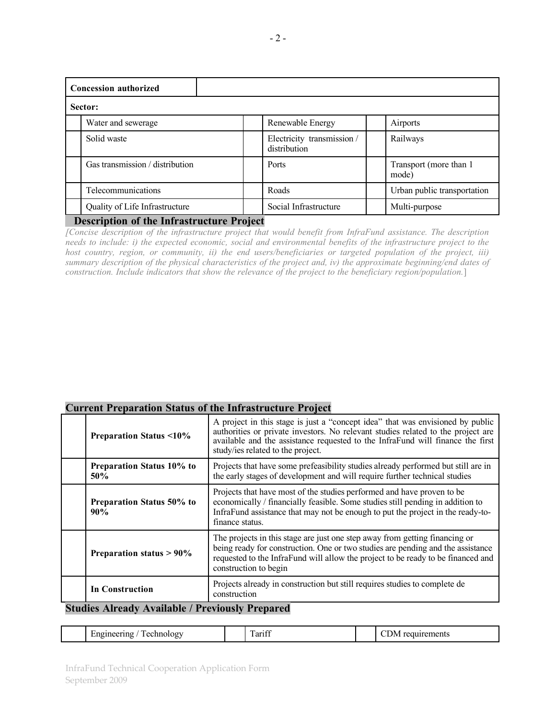| <b>Concession authorized</b>    |                                            |                                  |  |  |  |  |  |
|---------------------------------|--------------------------------------------|----------------------------------|--|--|--|--|--|
| Sector:                         |                                            |                                  |  |  |  |  |  |
| Water and sewerage              | Renewable Energy                           | Airports                         |  |  |  |  |  |
| Solid waste                     | Electricity transmission /<br>distribution | Railways                         |  |  |  |  |  |
| Gas transmission / distribution | Ports                                      | Transport (more than 1)<br>mode) |  |  |  |  |  |
| <b>Telecommunications</b>       | Roads                                      | Urban public transportation      |  |  |  |  |  |
| Quality of Life Infrastructure  | Social Infrastructure                      | Multi-purpose                    |  |  |  |  |  |

### **Description of the Infrastructure Project**

*[Concise description of the infrastructure project that would benefit from InfraFund assistance. The description needs to include: i) the expected economic, social and environmental benefits of the infrastructure project to the host country, region, or community, ii) the end users/beneficiaries or targeted population of the project, iii) summary description of the physical characteristics of the project and, iv) the approximate beginning/end dates of construction. Include indicators that show the relevance of the project to the beneficiary region/population.*]

# **Current Preparation Status of the Infrastructure Project**

|                                                        | <b>Preparation Status &lt;10%</b> | A project in this stage is just a "concept idea" that was envisioned by public<br>authorities or private investors. No relevant studies related to the project are<br>available and the assistance requested to the InfraFund will finance the first<br>study/ies related to the project. |  |  |  |  |
|--------------------------------------------------------|-----------------------------------|-------------------------------------------------------------------------------------------------------------------------------------------------------------------------------------------------------------------------------------------------------------------------------------------|--|--|--|--|
|                                                        | Preparation Status 10% to<br>50%  | Projects that have some prefeasibility studies already performed but still are in<br>the early stages of development and will require further technical studies                                                                                                                           |  |  |  |  |
|                                                        | Preparation Status 50% to<br>90%  | Projects that have most of the studies performed and have proven to be<br>economically / financially feasible. Some studies still pending in addition to<br>InfraFund assistance that may not be enough to put the project in the ready-to-<br>finance status.                            |  |  |  |  |
|                                                        | Preparation status $> 90\%$       | The projects in this stage are just one step away from getting financing or<br>being ready for construction. One or two studies are pending and the assistance<br>requested to the InfraFund will allow the project to be ready to be financed and<br>construction to begin               |  |  |  |  |
|                                                        | <b>In Construction</b>            | Projects already in construction but still requires studies to complete de<br>construction                                                                                                                                                                                                |  |  |  |  |
| <b>Studies Already Available / Previously Prepared</b> |                                   |                                                                                                                                                                                                                                                                                           |  |  |  |  |

Engineering / Technology Tariff Tariff CDM requirements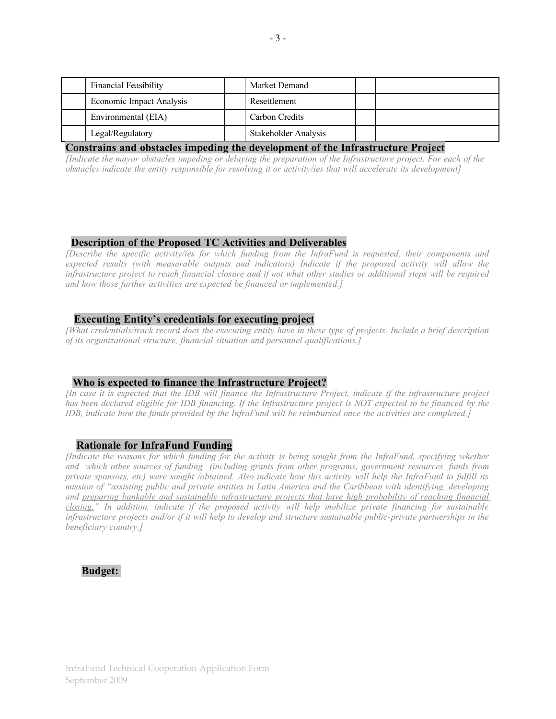| <b>Financial Feasibility</b> | Market Demand        |  |
|------------------------------|----------------------|--|
| Economic Impact Analysis     | Resettlement         |  |
| Environmental (EIA)          | Carbon Credits       |  |
| Legal/Regulatory             | Stakeholder Analysis |  |

### **Constrains and obstacles impeding the development of the Infrastructure Project**

*[Indicate the mayor obstacles impeding or delaying the preparation of the Infrastructure project. For each of the obstacles indicate the entity responsible for resolving it or activity/ies that will accelerate its development]* 

# **Description of the Proposed TC Activities and Deliverables**

*[Describe the specific activity/ies for which funding from the InfraFund is requested, their components and expected results (with measurable outputs and indicators) Indicate if the proposed activity will allow the infrastructure project to reach financial closure and if not what other studies or additional steps will be required and how those further activities are expected be financed or implemented.]*

### **Executing Entity's credentials for executing project**

*[What credentials/track record does the executing entity have in these type of projects. Include a brief description of its organizational structure, financial situation and personnel qualifications.]*

#### **Who is expected to finance the Infrastructure Project?**

*[In case it is expected that the IDB will finance the Infrastructure Project, indicate if the infrastructure project has been declared eligible for IDB financing. If the Infrastructure project is NOT expected to be financed by the IDB, indicate how the funds provided by the InfraFund will be reimbursed once the activities are completed.]*

#### **Rationale for InfraFund Funding**

*[Indicate the reasons for which funding for the activity is being sought from the InfraFund, specifying whether and which other sources of funding (including grants from other programs, government resources, funds from private sponsors, etc) were sought /obtained. Also indicate how this activity will help the InfraFund to fulfill its mission of "assisting public and private entities in Latin America and the Caribbean with identifying, developing and preparing bankable and sustainable infrastructure projects that have high probability of reaching financial closing." In addition, indicate if the proposed activity will help mobilize private financing for sustainable infrastructure projects and/or if it will help to develop and structure sustainable public-private partnerships in the beneficiary country.]*

# **Budget:**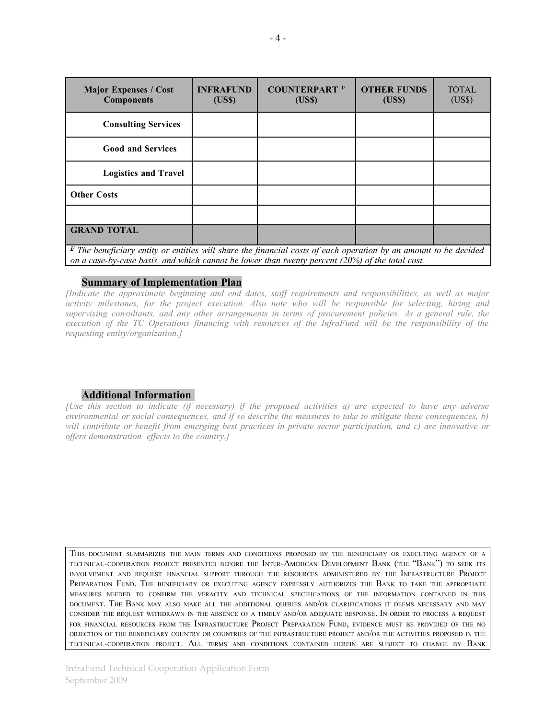| <b>Major Expenses / Cost</b><br><b>Components</b>                                                                                                                | <b>INFRAFUND</b><br>(US\$) | <b>COUNTERPART</b> <sup>1/</sup><br>(US\$) | <b>OTHER FUNDS</b><br>(US\$) | <b>TOTAL</b><br>(US\$) |
|------------------------------------------------------------------------------------------------------------------------------------------------------------------|----------------------------|--------------------------------------------|------------------------------|------------------------|
| <b>Consulting Services</b>                                                                                                                                       |                            |                                            |                              |                        |
| <b>Good and Services</b>                                                                                                                                         |                            |                                            |                              |                        |
| <b>Logistics and Travel</b>                                                                                                                                      |                            |                                            |                              |                        |
| <b>Other Costs</b>                                                                                                                                               |                            |                                            |                              |                        |
|                                                                                                                                                                  |                            |                                            |                              |                        |
| <b>GRAND TOTAL</b><br><sup><math>\nu</math></sup> The heneficiary entity or entities will share the financial costs of each operation by an amount to be decided |                            |                                            |                              |                        |

 *The beneficiary entity or entities will share the financial costs of each operation by an amount to be decided on a case-by-case basis, and which cannot be lower than twenty percent (20%) of the total cost.* 

## **Summary of Implementation Plan**

*[Indicate the approximate beginning and end dates, staff requirements and responsibilities, as well as major activity milestones, for the project execution. Also note who will be responsible for selecting, hiring and supervising consultants, and any other arrangements in terms of procurement policies. As a general rule, the execution of the TC Operations financing with resources of the InfraFund will be the responsibility of the requesting entity/organization.]*

#### **Additional Information**

*[Use this section to indicate (if necessary) if the proposed activities a) are expected to have any adverse environmental or social consequences, and if so describe the measures to take to mitigate these consequences, b) will contribute or benefit from emerging best practices in private sector participation, and c) are innovative or offers demonstration effects to the country.]*

THIS DOCUMENT SUMMARIZES THE MAIN TERMS AND CONDITIONS PROPOSED BY THE BENEFICIARY OR EXECUTING AGENCY OF <sup>A</sup> TECHNICAL-COOPERATION PROJECT PRESENTED BEFORE THE INTER-AMERICAN DEVELOPMENT BANK (THE "BANK") TO SEEK ITS INVOLVEMENT AND REQUEST FINANCIAL SUPPORT THROUGH THE RESOURCES ADMINISTERED BY THE INFRASTRUCTURE PROJECT PREPARATION FUND. THE BENEFICIARY OR EXECUTING AGENCY EXPRESSLY AUTHORIZES THE BANK TO TAKE THE APPROPRIATE MEASURES NEEDED TO CONFIRM THE VERACITY AND TECHNICAL SPECIFICATIONS OF THE INFORMATION CONTAINED IN THIS DOCUMENT. THE BANK MAY ALSO MAKE ALL THE ADDITIONAL QUERIES AND/OR CLARIFICATIONS IT DEEMS NECESSARY AND MAY CONSIDER THE REQUEST WITHDRAWN IN THE ABSENCE OF <sup>A</sup> TIMELY AND/OR ADEQUATE RESPONSE. I<sup>N</sup> ORDER TO PROCESS <sup>A</sup> REQUEST FOR FINANCIAL RESOURCES FROM THE INFRASTRUCTURE PROJECT PREPARATION FUND, EVIDENCE MUST BE PROVIDED OF THE NO OBJECTION OF THE BENEFICIARY COUNTRY OR COUNTRIES OF THE INFRASTRUCTURE PROJECT AND/OR THE ACTIVITIES PROPOSED IN THE TECHNICAL-COOPERATION PROJECT. ALL TERMS AND CONDITIONS CONTAINED HEREIN ARE SUBJECT TO CHANGE BY BANK